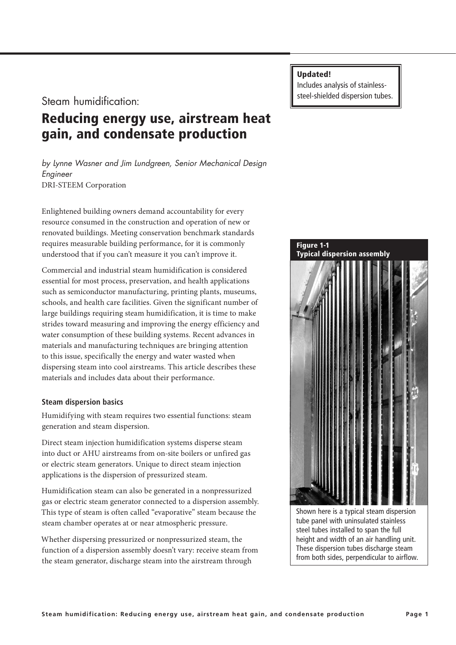Steam humidification:

# Reducing energy use, airstream heat gain, and condensate production

*by Lynne Wasner and Jim Lundgreen, Senior Mechanical Design Engineer* DRI-STEEM Corporation

Enlightened building owners demand accountability for every resource consumed in the construction and operation of new or renovated buildings. Meeting conservation benchmark standards requires measurable building performance, for it is commonly understood that if you can't measure it you can't improve it.

Commercial and industrial steam humidification is considered essential for most process, preservation, and health applications such as semiconductor manufacturing, printing plants, museums, schools, and health care facilities. Given the significant number of large buildings requiring steam humidification, it is time to make strides toward measuring and improving the energy efficiency and water consumption of these building systems. Recent advances in materials and manufacturing techniques are bringing attention to this issue, specifically the energy and water wasted when dispersing steam into cool airstreams. This article describes these materials and includes data about their performance.

## **Steam dispersion basics**

Humidifying with steam requires two essential functions: steam generation and steam dispersion.

Direct steam injection humidification systems disperse steam into duct or AHU airstreams from on-site boilers or unfired gas or electric steam generators. Unique to direct steam injection applications is the dispersion of pressurized steam.

Humidification steam can also be generated in a nonpressurized gas or electric steam generator connected to a dispersion assembly. This type of steam is often called "evaporative" steam because the steam chamber operates at or near atmospheric pressure.

Whether dispersing pressurized or nonpressurized steam, the function of a dispersion assembly doesn't vary: receive steam from the steam generator, discharge steam into the airstream through

Updated!

Includes analysis of stainlesssteel-shielded dispersion tubes.



tube panel with uninsulated stainless steel tubes installed to span the full height and width of an air handling unit. These dispersion tubes discharge steam from both sides, perpendicular to airflow.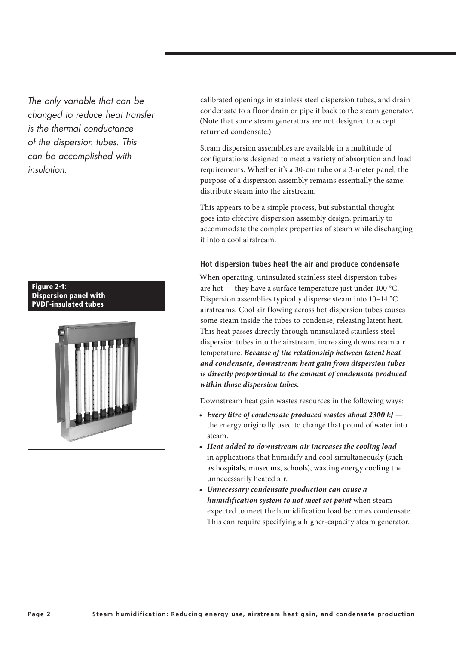*The only variable that can be changed to reduce heat transfer is the thermal conductance of the dispersion tubes. This can be accomplished with insulation.*



calibrated openings in stainless steel dispersion tubes, and drain condensate to a floor drain or pipe it back to the steam generator. (Note that some steam generators are not designed to accept returned condensate.)

Steam dispersion assemblies are available in a multitude of configurations designed to meet a variety of absorption and load requirements. Whether it's a 30-cm tube or a 3-meter panel, the purpose of a dispersion assembly remains essentially the same: distribute steam into the airstream.

This appears to be a simple process, but substantial thought goes into effective dispersion assembly design, primarily to accommodate the complex properties of steam while discharging it into a cool airstream.

## **Hot dispersion tubes heat the air and produce condensate**

When operating, uninsulated stainless steel dispersion tubes are hot — they have a surface temperature just under 100 °C. Dispersion assemblies typically disperse steam into 10–14 °C airstreams. Cool air flowing across hot dispersion tubes causes some steam inside the tubes to condense, releasing latent heat. This heat passes directly through uninsulated stainless steel dispersion tubes into the airstream, increasing downstream air temperature. *Because of the relationship between latent heat and condensate, downstream heat gain from dispersion tubes is directly proportional to the amount of condensate produced within those dispersion tubes.* 

Downstream heat gain wastes resources in the following ways:

- *• Every litre of condensate produced wastes about 2300 kJ* the energy originally used to change that pound of water into steam.
- *• Heat added to downstream air increases the cooling load* in applications that humidify and cool simultaneously (such as hospitals, museums, schools), wasting energy cooling the unnecessarily heated air.
- *• Unnecessary condensate production can cause a humidification system to not meet set point* when steam expected to meet the humidification load becomes condensate. This can require specifying a higher-capacity steam generator.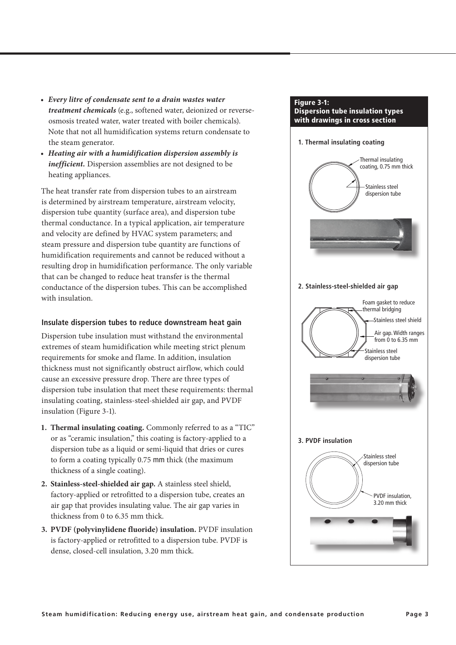- *• Every litre of condensate sent to a drain wastes water treatment chemicals* (e.g., softened water, deionized or reverseosmosis treated water, water treated with boiler chemicals). Note that not all humidification systems return condensate to the steam generator.
- *• Heating air with a humidification dispersion assembly is inefficient.* Dispersion assemblies are not designed to be heating appliances.

The heat transfer rate from dispersion tubes to an airstream is determined by airstream temperature, airstream velocity, dispersion tube quantity (surface area), and dispersion tube thermal conductance. In a typical application, air temperature and velocity are defined by HVAC system parameters; and steam pressure and dispersion tube quantity are functions of humidification requirements and cannot be reduced without a resulting drop in humidification performance. The only variable that can be changed to reduce heat transfer is the thermal conductance of the dispersion tubes. This can be accomplished with insulation.

## **Insulate dispersion tubes to reduce downstream heat gain**

Dispersion tube insulation must withstand the environmental extremes of steam humidification while meeting strict plenum requirements for smoke and flame. In addition, insulation thickness must not significantly obstruct airflow, which could cause an excessive pressure drop. There are three types of dispersion tube insulation that meet these requirements: thermal insulating coating, stainless-steel-shielded air gap, and PVDF insulation (Figure 3-1).

- **1. Thermal insulating coating.** Commonly referred to as a "TIC" or as "ceramic insulation," this coating is factory-applied to a dispersion tube as a liquid or semi-liquid that dries or cures to form a coating typically 0.75 mm thick (the maximum thickness of a single coating).
- **2. Stainless-steel-shielded air gap.** A stainless steel shield, factory-applied or retrofitted to a dispersion tube, creates an air gap that provides insulating value. The air gap varies in thickness from 0 to 6.35 mm thick.
- **3. PVDF (polyvinylidene fluoride) insulation.** PVDF insulation is factory-applied or retrofitted to a dispersion tube. PVDF is dense, closed-cell insulation, 3.20 mm thick.

#### Figure 3-1: Dispersion tube insulation types with drawings in cross section

#### **1. Thermal insulating coating**



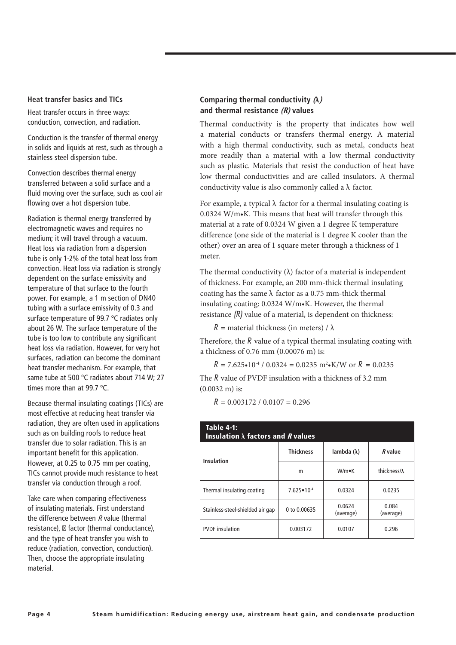#### **Heat transfer basics and TICs**

Heat transfer occurs in three ways: conduction, convection, and radiation.

Conduction is the transfer of thermal energy in solids and liquids at rest, such as through a stainless steel dispersion tube.

Convection describes thermal energy transferred between a solid surface and a fluid moving over the surface, such as cool air flowing over a hot dispersion tube.

Radiation is thermal energy transferred by electromagnetic waves and requires no medium; it will travel through a vacuum. Heat loss via radiation from a dispersion tube is only 1-2% of the total heat loss from convection. Heat loss via radiation is strongly dependent on the surface emissivity and temperature of that surface to the fourth power. For example, a 1 m section of DN40 tubing with a surface emissivity of 0.3 and surface temperature of 99.7 ºC radiates only about 26 W. The surface temperature of the tube is too low to contribute any significant heat loss via radiation. However, for very hot surfaces, radiation can become the dominant heat transfer mechanism. For example, that same tube at 500 ºC radiates about 714 W; 27 times more than at 99.7 ºC.

Because thermal insulating coatings (TICs) are most effective at reducing heat transfer via radiation, they are often used in applications such as on building roofs to reduce heat transfer due to solar radiation. This is an important benefit for this application. However, at 0.25 to 0.75 mm per coating, TICs cannot provide much resistance to heat transfer via conduction through a roof.

Take care when comparing effectiveness of insulating materials. First understand the difference between R value (thermal resistance), factor (thermal conductance), and the type of heat transfer you wish to reduce (radiation, convection, conduction). Then, choose the appropriate insulating material.

## **Comparing thermal conductivity (λ) and thermal resistance (R) values**

Thermal conductivity is the property that indicates how well a material conducts or transfers thermal energy. A material with a high thermal conductivity, such as metal, conducts heat more readily than a material with a low thermal conductivity such as plastic. Materials that resist the conduction of heat have low thermal conductivities and are called insulators. A thermal conductivity value is also commonly called a  $\lambda$  factor.

For example, a typical  $\lambda$  factor for a thermal insulating coating is 0.0324 W/m•K. This means that heat will transfer through this material at a rate of 0.0324 W given a 1 degree K temperature difference (one side of the material is 1 degree K cooler than the other) over an area of 1 square meter through a thickness of 1 meter.

The thermal conductivity  $(\lambda)$  factor of a material is independent of thickness. For example, an 200 mm-thick thermal insulating coating has the same  $\lambda$  factor as a 0.75 mm-thick thermal insulating coating: 0.0324 W/m•K. However, the thermal resistance *(R)* value of a material, is dependent on thickness:

 $R =$  material thickness (in meters) /  $\lambda$ 

Therefore, the *R* value of a typical thermal insulating coating with a thickness of 0.76 mm (0.00076 m) is:

 $R = 7.625 \cdot 10^{-4}$  / 0.0324 = 0.0235 m<sup>2</sup> $\cdot$ K/W or  $R = 0.0235$ 

The *R* value of PVDF insulation with a thickness of 3.2 mm (0.0032 m) is:

 $R = 0.003172 / 0.0107 = 0.296$ 

| <b>Table 4-1:</b><br>Insulation $\lambda$ factors and R values |                       |                     |                      |  |  |  |  |
|----------------------------------------------------------------|-----------------------|---------------------|----------------------|--|--|--|--|
| <b>Insulation</b>                                              | <b>Thickness</b>      | lambda $(\lambda)$  | R value              |  |  |  |  |
|                                                                | m                     | $W/m \bullet K$     | thickness/ $\lambda$ |  |  |  |  |
| Thermal insulating coating                                     | $7.625 \cdot 10^{-4}$ | 0.0324              | 0.0235               |  |  |  |  |
| Stainless-steel-shielded air gap                               | 0 to 0.00635          | 0.0624<br>(average) | 0.084<br>(average)   |  |  |  |  |
| <b>PVDF</b> insulation                                         | 0.003172              | 0.0107              | 0.296                |  |  |  |  |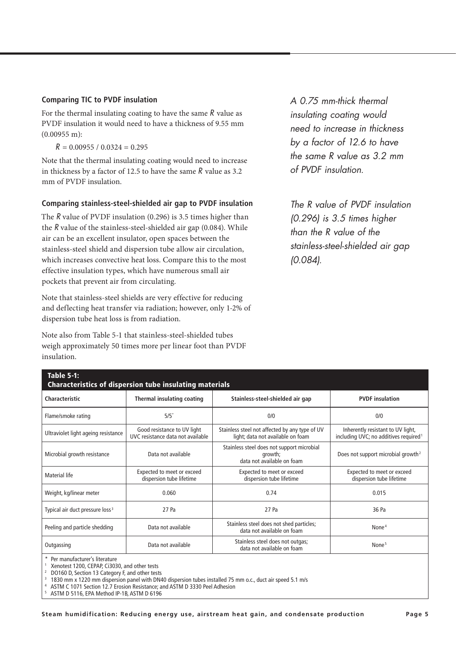#### **Comparing TIC to PVDF insulation**

For the thermal insulating coating to have the same *R* value as PVDF insulation it would need to have a thickness of 9.55 mm  $(0.00955 \text{ m})$ :

 $R = 0.00955 / 0.0324 = 0.295$ 

Note that the thermal insulating coating would need to increase in thickness by a factor of 12.5 to have the same *R* value as 3.2 mm of PVDF insulation.

## **Comparing stainless-steel-shielded air gap to PVDF insulation**

The *R* value of PVDF insulation (0.296) is 3.5 times higher than the *R* value of the stainless-steel-shielded air gap (0.084). While air can be an excellent insulator, open spaces between the stainless-steel shield and dispersion tube allow air circulation, which increases convective heat loss. Compare this to the most effective insulation types, which have numerous small air pockets that prevent air from circulating.

Note that stainless-steel shields are very effective for reducing and deflecting heat transfer via radiation; however, only 1-2% of dispersion tube heat loss is from radiation.

Note also from Table 5-1 that stainless-steel-shielded tubes weigh approximately 50 times more per linear foot than PVDF insulation.

*A 0.75 mm-thick thermal insulating coating would need to increase in thickness by a factor of 12.6 to have the same R value as 3.2 mm of PVDF insulation.*

*The R value of PVDF insulation (0.296) is 3.5 times higher than the R value of the stainless-steel-shielded air gap (0.084).* 

| <b>Table 5-1:</b><br><b>Characteristics of dispersion tube insulating materials</b> |                                                                  |                                                                                     |                                                                                        |  |  |  |  |  |
|-------------------------------------------------------------------------------------|------------------------------------------------------------------|-------------------------------------------------------------------------------------|----------------------------------------------------------------------------------------|--|--|--|--|--|
| Characteristic                                                                      | Thermal insulating coating                                       | Stainless-steel-shielded air gap                                                    | <b>PVDF</b> insulation                                                                 |  |  |  |  |  |
| Flame/smoke rating                                                                  | $5/5$ <sup>*</sup>                                               | 0/0                                                                                 | 0/0                                                                                    |  |  |  |  |  |
| Ultraviolet light ageing resistance                                                 | Good resistance to UV light<br>UVC resistance data not available | Stainless steel not affected by any type of UV<br>light; data not available on foam | Inherently resistant to UV light,<br>including UVC; no additives required <sup>1</sup> |  |  |  |  |  |
| Microbial growth resistance                                                         | Data not available                                               | Stainless steel does not support microbial<br>growth;<br>data not available on foam | Does not support microbial growth <sup>2</sup>                                         |  |  |  |  |  |
| Expected to meet or exceed<br><b>Material life</b><br>dispersion tube lifetime      |                                                                  | Expected to meet or exceed<br>dispersion tube lifetime                              | Expected to meet or exceed<br>dispersion tube lifetime                                 |  |  |  |  |  |
| Weight, kg/linear meter                                                             | 0.060                                                            | 0.74                                                                                | 0.015                                                                                  |  |  |  |  |  |
| Typical air duct pressure loss <sup>3</sup>                                         | 27 Pa                                                            | 27 Pa                                                                               | 36 Pa                                                                                  |  |  |  |  |  |
| Peeling and particle shedding<br>Data not available                                 |                                                                  | Stainless steel does not shed particles;<br>data not available on foam              | None $4$                                                                               |  |  |  |  |  |
| Outgassing                                                                          | Data not available                                               | Stainless steel does not outgas;<br>data not available on foam                      | None <sup>5</sup>                                                                      |  |  |  |  |  |
| Per manufacturer's literature<br>Xenotest 1200, CEPAP, Ci3030, and other tests      |                                                                  |                                                                                     |                                                                                        |  |  |  |  |  |

2 DO160 D, Section 13 Category F, and other tests

3 1830 mm x 1220 mm dispersion panel with DN40 dispersion tubes installed 75 mm o.c., duct air speed 5.1 m/s

4 ASTM C 1071 Section 12.7 Erosion Resistance; and ASTM D 3330 Peel Adhesion

5 ASTM D 5116, EPA Method IP-1B, ASTM D 6196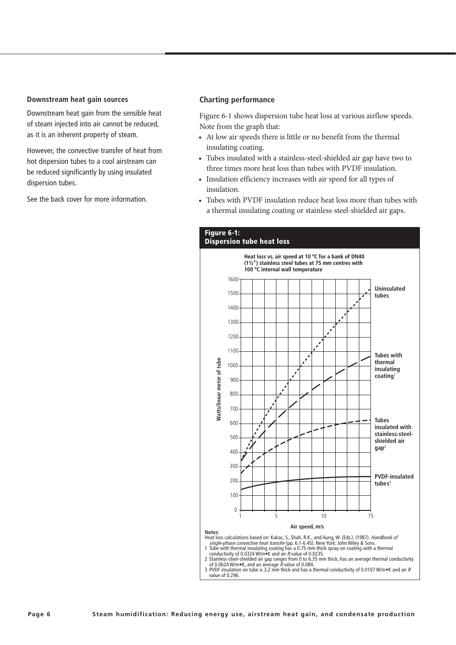#### **Downstream heat gain sources**

Downstream heat gain from the sensible heat of steam injected into air cannot be reduced, as it is an inherent property of steam.

However, the convective transfer of heat from hot dispersion tubes to a cool airstream can be reduced significantly by using insulated dispersion tubes.

See the back cover for more information.

#### **Charting performance**

Figure 6-1 shows dispersion tube heat loss at various airflow speeds. Note from the graph that:

- At low air speeds there is little or no benefit from the thermal insulating coating.
- Tubes insulated with a stainless-steel-shielded air gap have two to three times more heat loss than tubes with PVDF insulation.
- Insulation efficiency increases with air speed for all types of insulation.
- Tubes with PVDF insulation reduce heat loss more than tubes with a thermal insulating coating or stainless-steel-shielded air gaps.

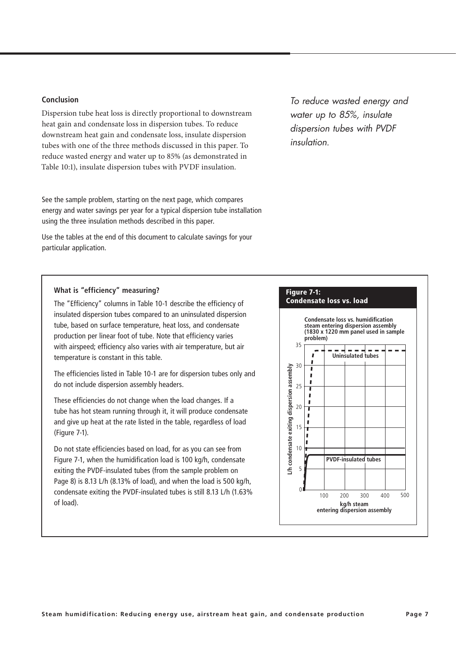## **Conclusion**

Dispersion tube heat loss is directly proportional to downstream heat gain and condensate loss in dispersion tubes. To reduce downstream heat gain and condensate loss, insulate dispersion tubes with one of the three methods discussed in this paper. To reduce wasted energy and water up to 85% (as demonstrated in Table 10:1), insulate dispersion tubes with PVDF insulation.

See the sample problem, starting on the next page, which compares energy and water savings per year for a typical dispersion tube installation using the three insulation methods described in this paper.

Use the tables at the end of this document to calculate savings for your particular application.

#### **What is "efficiency" measuring?**

The "Efficiency" columns in Table 10-1 describe the efficiency of insulated dispersion tubes compared to an uninsulated dispersion tube, based on surface temperature, heat loss, and condensate production per linear foot of tube. Note that efficiency varies with airspeed; efficiency also varies with air temperature, but air temperature is constant in this table.

The efficiencies listed in Table 10-1 are for dispersion tubes only and do not include dispersion assembly headers.

These efficiencies do not change when the load changes. If a tube has hot steam running through it, it will produce condensate and give up heat at the rate listed in the table, regardless of load (Figure 7-1).

Do not state efficiencies based on load, for as you can see from Figure 7-1, when the humidification load is 100 kg/h, condensate exiting the PVDF-insulated tubes (from the sample problem on Page 8) is 8.13 L/h (8.13% of load), and when the load is 500 kg/h, condensate exiting the PVDF-insulated tubes is still 8.13 L/h (1.63% of load).

*To reduce wasted energy and water up to 85%, insulate dispersion tubes with PVDF insulation.* 

## Figure 7-1: Condensate loss vs. load

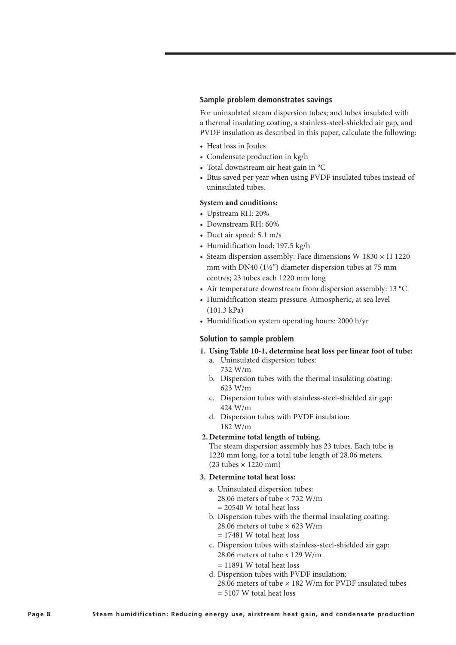#### **Sample problem demonstrates savings**

For uninsulated steam dispersion tubes; and tubes insulated with a thermal insulating coating, a stainless-steel-shielded air gap, and PVDF insulation as described in this paper, calculate the following:

- Heat loss in Joules
- Condensate production in kg/h
- Total downstream air heat gain in °C
- Btus saved per year when using PVDF insulated tubes instead of uninsulated tubes.

#### **System and conditions:**

- Upstream RH: 20%
- Downstream RH: 60%
- Duct air speed: 5.1 m/s
- Humidification load: 197.5 kg/h
- Steam dispersion assembly: Face dimensions W  $1830 \times H$  1220 mm with DN40 (1½") diameter dispersion tubes at 75 mm centres; 23 tubes each 1220 mm long
- Air temperature downstream from dispersion assembly: 13 °C
- Humidification steam pressure: Atmospheric, at sea level (101.3 kPa)
- Humidification system operating hours: 2000 h/yr

#### **Solution to sample problem**

- **1. Using Table 10-1, determine heat loss per linear foot of tube:** a. Uninsulated dispersion tubes:
	- 732 W/m
	- b. Dispersion tubes with the thermal insulating coating: 623 W/m
	- c. Dispersion tubes with stainless-steel-shielded air gap: 424 W/m
	- d. Dispersion tubes with PVDF insulation: 182 W/m

#### **2.Determine total length of tubing.**

The steam dispersion assembly has 23 tubes. Each tube is 1220 mm long, for a total tube length of 28.06 meters.  $(23 \text{ tubes} \times 1220 \text{ mm})$ 

#### **3. Determine total heat loss:**

- a. Uninsulated dispersion tubes: 28.06 meters of tube × 732 W/m = 20540 W total heat loss
- b. Dispersion tubes with the thermal insulating coating: 28.06 meters of tube  $\times$  623 W/m  $= 17481$  W total heat loss
- c. Dispersion tubes with stainless-steel-shielded air gap: 28.06 meters of tube x 129 W/m = 11891 W total heat loss
- d. Dispersion tubes with PVDF insulation: 28.06 meters of tube  $\times$  182 W/m for PVDF insulated tubes = 5107 W total heat loss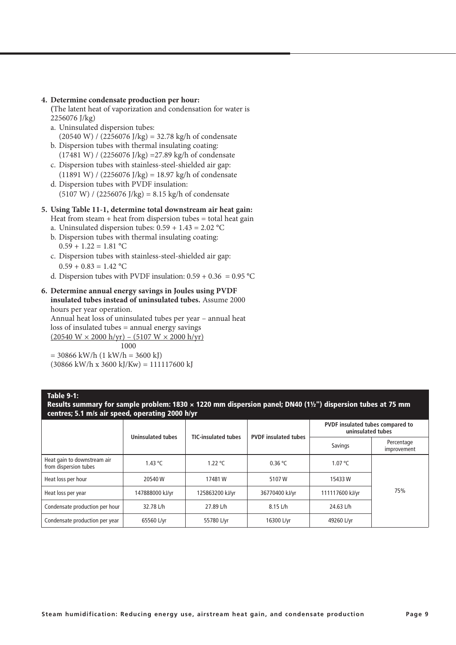#### **4. Determine condensate production per hour:**

**(**The latent heat of vaporization and condensation for water is 2256076 J/kg)

- a. Uninsulated dispersion tubes:  $(20540 \text{ W})$  /  $(2256076 \text{ J/kg}) = 32.78 \text{ kg/h}$  of condensate
- b. Dispersion tubes with thermal insulating coating: (17481 W) / (2256076 J/kg) =27.89 kg/h of condensate
- c. Dispersion tubes with stainless-steel-shielded air gap:  $(11891 W) / (2256076 J/kg) = 18.97 kg/h$  of condensate
- d. Dispersion tubes with PVDF insulation:  $(5107 W) / (2256076 J/kg) = 8.15 kg/h$  of condensate

#### **5. Using Table 11-1, determine total downstream air heat gain:**

Heat from steam  $+$  heat from dispersion tubes  $=$  total heat gain

- a. Uninsulated dispersion tubes:  $0.59 + 1.43 = 2.02$  °C
- b. Dispersion tubes with thermal insulating coating:  $0.59 + 1.22 = 1.81$  °C
- c. Dispersion tubes with stainless-steel-shielded air gap:  $0.59 + 0.83 = 1.42$  °C
- d. Dispersion tubes with PVDF insulation:  $0.59 + 0.36 = 0.95$  °C

#### **6. Determine annual energy savings in Joules using PVDF insulated tubes instead of uninsulated tubes.** Assume 2000

hours per year operation.

Annual heat loss of uninsulated tubes per year – annual heat loss of insulated tubes = annual energy savings  $(20540 W \times 2000 h/yr) - (5107 W \times 2000 h/yr)$ 1000

 $= 30866$  kW/h  $(1$  kW/h  $= 3600$  kJ)  $(30866 \text{ kW/h} \times 3600 \text{ kJ/Kw}) = 111117600 \text{ kJ}$ 

#### Table 9-1:

Results summary for sample problem: 1830 × 1220 mm dispersion panel; DN40 (1½") dispersion tubes at 75 mm centres; 5.1 m/s air speed, operating 2000 h/yr

|                                                      | <b>Uninsulated tubes</b> | <b>TIC-insulated tubes</b> | <b>PVDF</b> insulated tubes | PVDF insulated tubes compared to<br>uninsulated tubes |                           |  |
|------------------------------------------------------|--------------------------|----------------------------|-----------------------------|-------------------------------------------------------|---------------------------|--|
|                                                      |                          |                            |                             | Savings                                               | Percentage<br>improvement |  |
| Heat gain to downstream air<br>from dispersion tubes | 1.43 $^{\circ}$ C        | 1.22 $^{\circ}$ C          | 0.36 °C                     | 1.07 °C                                               |                           |  |
| Heat loss per hour                                   | 20540W                   |                            | 5107W                       | 15433W                                                | 75%                       |  |
| 147888000 kJ/yr<br>Heat loss per year                |                          | 125863200 kJ/yr            | 36770400 kJ/yr              | 111117600 kJ/yr                                       |                           |  |
| Condensate production per hour                       | 32.78 L/h                |                            | 8.15 L/h                    | 24.63 L/h                                             |                           |  |
| Condensate production per year                       | 65560 L/yr               | 55780 L/yr                 | 16300 L/yr                  | 49260 L/yr                                            |                           |  |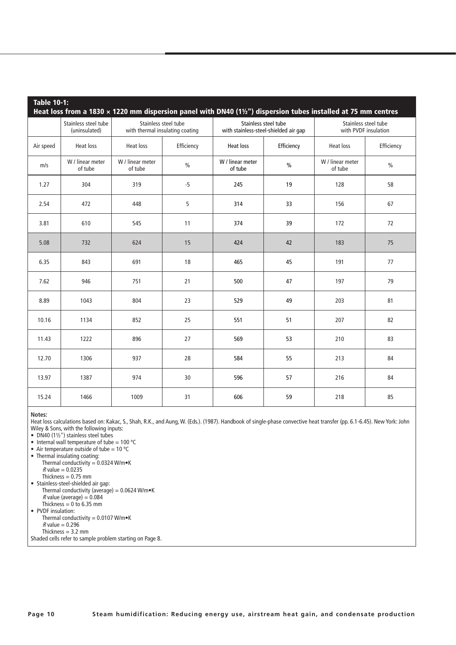| <b>Table 10-1:</b><br>Heat loss from a 1830 $\times$ 1220 mm dispersion panel with DN40 (1 $\frac{1}{2}$ ") dispersion tubes installed at 75 mm centres |                                       |                                                         |               |                             |                                                               |                                              |               |  |
|---------------------------------------------------------------------------------------------------------------------------------------------------------|---------------------------------------|---------------------------------------------------------|---------------|-----------------------------|---------------------------------------------------------------|----------------------------------------------|---------------|--|
|                                                                                                                                                         | Stainless steel tube<br>(uninsulated) | Stainless steel tube<br>with thermal insulating coating |               |                             | Stainless steel tube<br>with stainless-steel-shielded air gap | Stainless steel tube<br>with PVDF insulation |               |  |
| Air speed                                                                                                                                               | <b>Heat loss</b>                      | <b>Heat loss</b>                                        | Efficiency    | <b>Heat loss</b>            | Efficiency                                                    | <b>Heat loss</b>                             | Efficiency    |  |
| m/s                                                                                                                                                     | W / linear meter<br>of tube           | W / linear meter<br>of tube                             | $\frac{0}{0}$ | W / linear meter<br>of tube | $\frac{0}{0}$                                                 | W / linear meter<br>of tube                  | $\frac{0}{0}$ |  |
| 1.27                                                                                                                                                    | 304                                   | 319                                                     | $-5$          | 245                         | 19                                                            | 128                                          | 58            |  |
| 2.54                                                                                                                                                    | 472                                   | 448                                                     | 5             | 314                         | 33                                                            | 156                                          | 67            |  |
| 3.81                                                                                                                                                    | 610                                   | 545                                                     | 11            | 374                         | 39                                                            | 172                                          | 72            |  |
| 5.08                                                                                                                                                    | 732                                   | 624                                                     | 15            | 424                         | 42                                                            | 183                                          | 75            |  |
| 6.35                                                                                                                                                    | 843                                   | 691                                                     | 18            | 465                         | 45                                                            | 191                                          | 77            |  |
| 7.62                                                                                                                                                    | 946                                   | 751                                                     | 21            | 500                         | 47                                                            | 197                                          | 79            |  |
| 8.89                                                                                                                                                    | 1043                                  | 804                                                     | 23            | 529                         | 49                                                            | 203                                          | 81            |  |
| 10.16                                                                                                                                                   | 1134                                  | 852                                                     | 25            | 551                         | 51                                                            | 207                                          | 82            |  |
| 11.43                                                                                                                                                   | 1222                                  | 896                                                     | 27            | 569                         | 53                                                            |                                              | 83            |  |
| 12.70                                                                                                                                                   | 1306                                  | 937                                                     | 28            | 584                         | 55                                                            | 213                                          | 84            |  |
| 13.97                                                                                                                                                   | 1387                                  | 974                                                     | 30            | 596                         | 57                                                            | 216                                          | 84            |  |
| 15.24                                                                                                                                                   | 1466                                  | 1009                                                    | 31            | 606                         | 59                                                            | 218                                          | 85            |  |

**Notes:**

Heat loss calculations based on: Kakac, S., Shah, R.K., and Aung, W. (Eds.). (1987). Handbook of single-phase convective heat transfer (pp. 6.1-6.45). New York: John Wiley & Sons, with the following inputs:

• DN40 (1½") stainless steel tubes

• Internal wall temperature of tube =  $100 °C$ 

• Air temperature outside of tube =  $10^{\circ}$ C

• Thermal insulating coating: Thermal conductivity = 0.0324 W/m•K  $R$  value = 0.0235

Thickness  $= 0.75$  mm

- Stainless-steel-shielded air gap:
- Thermal conductivity (average) = 0.0624 W/m•K *R* value (average) =  $0.084$
- Thickness  $= 0$  to 6.35 mm
- PVDF insulation:
- Thermal conductivity =  $0.0107$  W/m $\bullet$ K  $R$  value = 0.296
- Thickness = 3.2 mm

Shaded cells refer to sample problem starting on Page 8.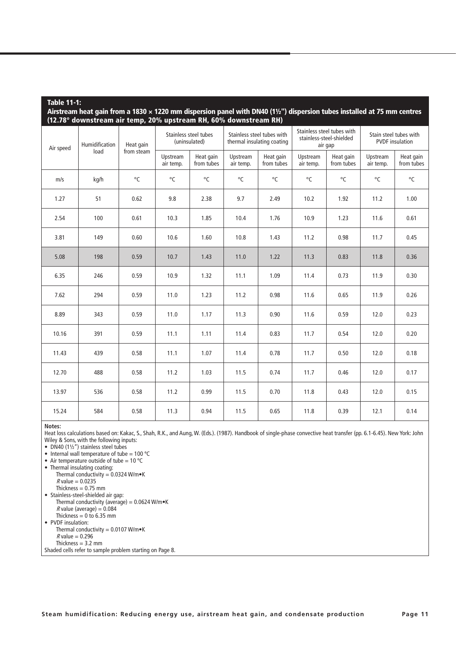#### Table 11-1:

Airstream heat gain from a 1830 × 1220 mm dispersion panel with DN40 (1½") dispersion tubes installed at 75 mm centres (12.78° downstream air temp, 20% upstream RH, 60% downstream RH)

| Air speed | Humidification<br>load | Heat gain<br>from steam | Stainless steel tubes<br>(uninsulated) |                         | Stainless steel tubes with<br>thermal insulating coating |                         | Stainless steel tubes with<br>stainless-steel-shielded<br>air gap |                         | Stain steel tubes with<br><b>PVDF</b> insulation |                         |
|-----------|------------------------|-------------------------|----------------------------------------|-------------------------|----------------------------------------------------------|-------------------------|-------------------------------------------------------------------|-------------------------|--------------------------------------------------|-------------------------|
|           |                        |                         | Upstream<br>air temp.                  | Heat gain<br>from tubes | Upstream<br>air temp.                                    | Heat gain<br>from tubes | Upstream<br>air temp.                                             | Heat gain<br>from tubes | Upstream<br>air temp.                            | Heat gain<br>from tubes |
| m/s       | kg/h                   | °C                      | $^{\circ}$ C                           | °C                      | $^{\circ}$ C                                             | °C                      | $^{\circ}$ C                                                      | $^{\circ}$ C            | $^{\circ}$ C                                     | $^{\circ}$ C            |
| 1.27      | 51                     | 0.62                    | 9.8                                    | 2.38                    | 9.7                                                      | 2.49                    | 10.2                                                              | 1.92                    | 11.2                                             | 1.00                    |
| 2.54      | 100                    | 0.61                    | 10.3                                   | 1.85                    | 10.4                                                     | 1.76                    | 10.9                                                              | 1.23                    | 11.6                                             | 0.61                    |
| 3.81      | 149                    | 0.60                    | 10.6                                   | 1.60                    | 10.8                                                     | 1.43                    | 11.2                                                              | 0.98                    | 11.7                                             | 0.45                    |
| 5.08      | 198                    | 0.59                    | 10.7                                   | 1.43                    | 11.0                                                     | 1.22                    | 11.3                                                              | 0.83                    | 11.8                                             | 0.36                    |
| 6.35      | 246                    | 0.59                    | 10.9                                   | 1.32                    | 11.1                                                     | 1.09                    | 11.4                                                              | 0.73                    | 11.9                                             | 0.30                    |
| 7.62      | 294                    | 0.59                    | 11.0                                   | 1.23                    | 11.2                                                     | 0.98                    | 11.6                                                              | 0.65                    | 11.9                                             | 0.26                    |
| 8.89      | 343                    | 0.59                    | 11.0                                   | 1.17                    | 11.3                                                     | 0.90                    | 11.6                                                              | 0.59                    | 12.0                                             | 0.23                    |
| 10.16     | 391                    | 0.59                    | 11.1                                   | 1.11                    | 11.4                                                     | 0.83                    | 11.7                                                              | 0.54                    | 12.0                                             | 0.20                    |
| 11.43     | 439                    | 0.58                    | 11.1                                   | 1.07                    | 11.4                                                     | 0.78                    | 11.7                                                              | 0.50                    | 12.0                                             | 0.18                    |
| 12.70     | 488                    | 0.58                    | 11.2                                   | 1.03                    | 11.5                                                     | 0.74                    | 11.7                                                              | 0.46                    | 12.0                                             | 0.17                    |
| 13.97     | 536                    | 0.58                    | 11.2                                   | 0.99                    | 11.5                                                     | 0.70                    | 11.8                                                              | 0.43                    | 12.0                                             | 0.15                    |
| 15.24     | 584                    | 0.58                    | 11.3                                   | 0.94                    | 11.5                                                     | 0.65                    | 11.8                                                              | 0.39                    | 12.1                                             | 0.14                    |

#### **Notes:**

Heat loss calculations based on: Kakac, S., Shah, R.K., and Aung, W. (Eds.). (1987). Handbook of single-phase convective heat transfer (pp. 6.1-6.45). New York: John Wiley & Sons, with the following inputs:

• DN40  $(1\frac{1}{2})$  stainless steel tubes

• Internal wall temperature of tube =  $100 °C$ 

• Air temperature outside of tube =  $10^{\circ}$ C

- Thermal insulating coating: Thermal conductivity =  $0.0324$  W/m $\bullet$ K  $R$  value = 0.0235
	- Thickness  $= 0.75$  mm
- Stainless-steel-shielded air gap: Thermal conductivity (average) =  $0.0624$  W/m $\bullet$ K  $R$  value (average) = 0.084 Thickness =  $0$  to 6.35 mm • PVDF insulation:
- Thermal conductivity =  $0.0107$  W/m $\bullet$ K  $R$  value = 0.296
- Thickness  $= 3.2$  mm
- Shaded cells refer to sample problem starting on Page 8.